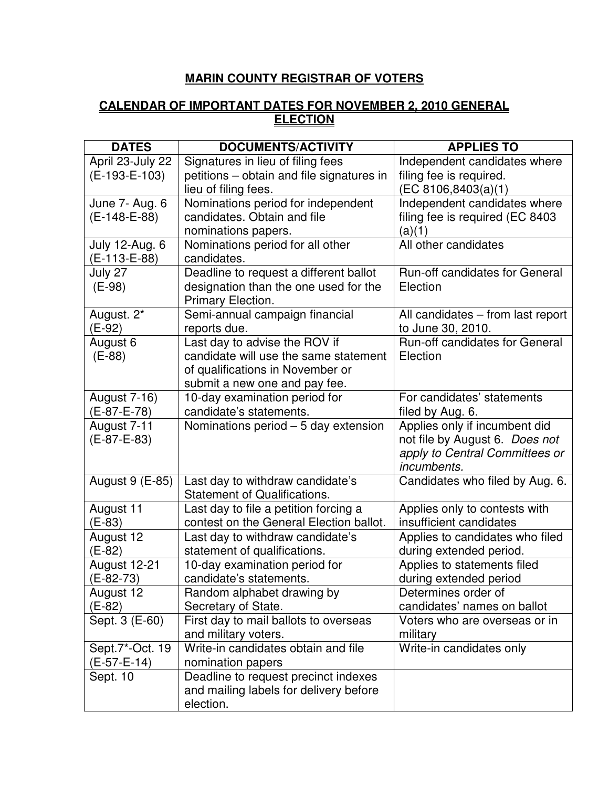## **MARIN COUNTY REGISTRAR OF VOTERS**

## **CALENDAR OF IMPORTANT DATES FOR NOVEMBER 2, 2010 GENERAL ELECTION**

| <b>DATES</b>          | <b>DOCUMENTS/ACTIVITY</b>                                     | <b>APPLIES TO</b>                                          |
|-----------------------|---------------------------------------------------------------|------------------------------------------------------------|
| April 23-July 22      | Signatures in lieu of filing fees                             | Independent candidates where                               |
| $(E-193-E-103)$       | petitions - obtain and file signatures in                     | filing fee is required.                                    |
|                       | lieu of filing fees.                                          | (EC 8106, 8403(a)(1))                                      |
| June 7- Aug. 6        | Nominations period for independent                            | Independent candidates where                               |
| $(E-148-E-88)$        | candidates. Obtain and file                                   | filing fee is required (EC 8403                            |
|                       | nominations papers.                                           | (a)(1)                                                     |
| <b>July 12-Aug. 6</b> | Nominations period for all other                              | All other candidates                                       |
| (E-113-E-88)          | candidates.                                                   |                                                            |
| July 27               | Deadline to request a different ballot                        | Run-off candidates for General                             |
| $(E-98)$              | designation than the one used for the                         | Election                                                   |
|                       | Primary Election.                                             |                                                            |
| August. 2*            | Semi-annual campaign financial                                | All candidates - from last report                          |
| $(E-92)$              | reports due.                                                  | to June 30, 2010.                                          |
| August 6              | Last day to advise the ROV if                                 | Run-off candidates for General                             |
| $(E-88)$              | candidate will use the same statement                         | Election                                                   |
|                       | of qualifications in November or                              |                                                            |
|                       | submit a new one and pay fee.                                 |                                                            |
| <b>August 7-16)</b>   | 10-day examination period for                                 | For candidates' statements                                 |
| (E-87-E-78)           | candidate's statements.                                       | filed by Aug. 6.                                           |
| August 7-11           | Nominations period $-5$ day extension                         | Applies only if incumbent did                              |
| $(E-87-E-83)$         |                                                               | not file by August 6. Does not                             |
|                       |                                                               | apply to Central Committees or                             |
|                       |                                                               | <i>incumbents.</i>                                         |
| August 9 (E-85)       | Last day to withdraw candidate's                              | Candidates who filed by Aug. 6.                            |
|                       | <b>Statement of Qualifications.</b>                           |                                                            |
| August 11<br>$(E-83)$ | Last day to file a petition forcing a                         | Applies only to contests with<br>insufficient candidates   |
|                       | contest on the General Election ballot.                       |                                                            |
| August 12<br>(E-82)   | Last day to withdraw candidate's                              | Applies to candidates who filed<br>during extended period. |
| August 12-21          | statement of qualifications.<br>10-day examination period for | Applies to statements filed                                |
| (E-82-73)             | candidate's statements.                                       | during extended period                                     |
| August 12             | Random alphabet drawing by                                    | Determines order of                                        |
| $(E-82)$              | Secretary of State.                                           | candidates' names on ballot                                |
| Sept. 3 (E-60)        | First day to mail ballots to overseas                         | Voters who are overseas or in                              |
|                       | and military voters.                                          | military                                                   |
| Sept.7*-Oct. 19       | Write-in candidates obtain and file                           | Write-in candidates only                                   |
| $(E-57-E-14)$         | nomination papers                                             |                                                            |
| Sept. 10              | Deadline to request precinct indexes                          |                                                            |
|                       | and mailing labels for delivery before                        |                                                            |
|                       | election.                                                     |                                                            |
|                       |                                                               |                                                            |